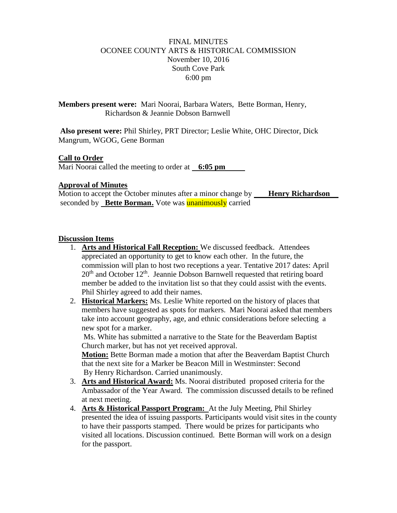# FINAL MINUTES OCONEE COUNTY ARTS & HISTORICAL COMMISSION November 10, 2016 South Cove Park 6:00 pm

**Members present were:** Mari Noorai, Barbara Waters, Bette Borman, Henry, Richardson & Jeannie Dobson Barnwell

**Also present were:** Phil Shirley, PRT Director; Leslie White, OHC Director, Dick Mangrum, WGOG, Gene Borman

## **Call to Order**

Mari Noorai called the meeting to order at **6:05 pm**

## **Approval of Minutes**

Motion to accept the October minutes after a minor change by **Henry Richardson** seconded by **Bette Borman.** Vote was **unanimously** carried

#### **Discussion Items**

- 1. **Arts and Historical Fall Reception:** We discussed feedback. Attendees appreciated an opportunity to get to know each other. In the future, the commission will plan to host two receptions a year. Tentative 2017 dates: April  $20<sup>th</sup>$  and October 12<sup>th</sup>. Jeannie Dobson Barnwell requested that retiring board member be added to the invitation list so that they could assist with the events. Phil Shirley agreed to add their names.
- 2. **Historical Markers:** Ms. Leslie White reported on the history of places that members have suggested as spots for markers. Mari Noorai asked that members take into account geography, age, and ethnic considerations before selecting a new spot for a marker.

Ms. White has submitted a narrative to the State for the Beaverdam Baptist Church marker, but has not yet received approval.

**Motion:** Bette Borman made a motion that after the Beaverdam Baptist Church that the next site for a Marker be Beacon Mill in Westminster: Second By Henry Richardson. Carried unanimously.

- 3. **Arts and Historical Award:** Ms. Noorai distributed proposed criteria for the Ambassador of the Year Award. The commission discussed details to be refined at next meeting.
- 4. **Arts & Historical Passport Program:** At the July Meeting, Phil Shirley presented the idea of issuing passports. Participants would visit sites in the county to have their passports stamped. There would be prizes for participants who visited all locations. Discussion continued. Bette Borman will work on a design for the passport.